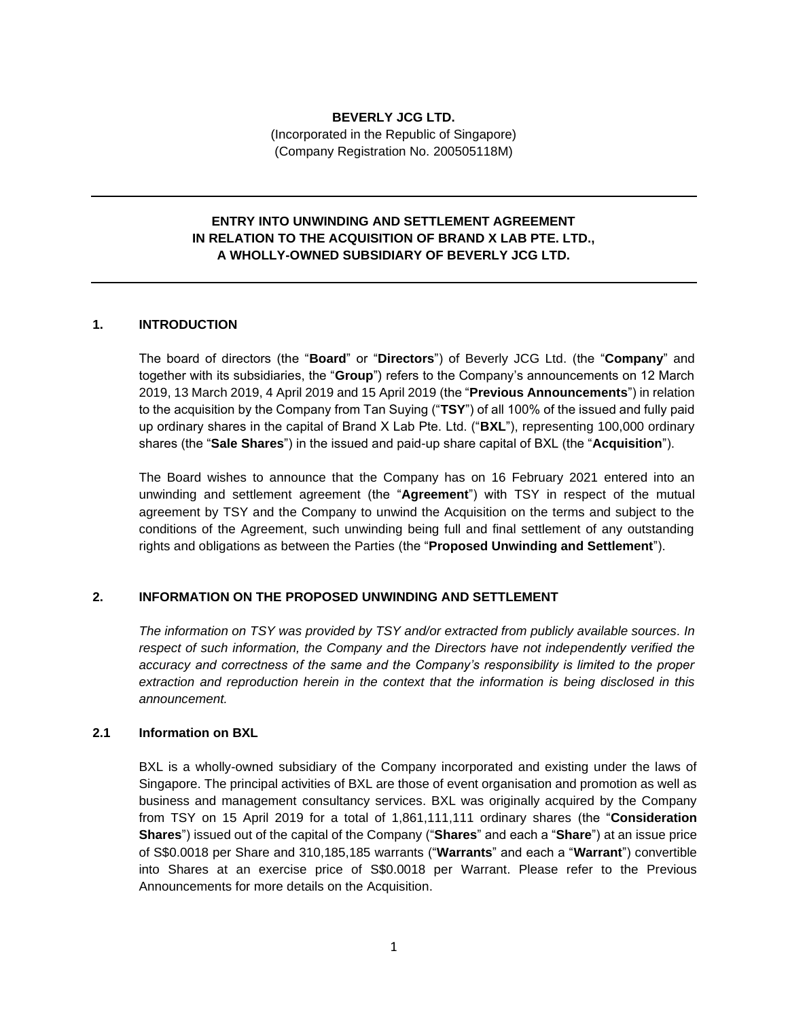## **BEVERLY JCG LTD.**

(Incorporated in the Republic of Singapore) (Company Registration No. 200505118M)

# **ENTRY INTO UNWINDING AND SETTLEMENT AGREEMENT IN RELATION TO THE ACQUISITION OF BRAND X LAB PTE. LTD., A WHOLLY-OWNED SUBSIDIARY OF BEVERLY JCG LTD.**

#### **1. INTRODUCTION**

The board of directors (the "**Board**" or "**Directors**") of Beverly JCG Ltd. (the "**Company**" and together with its subsidiaries, the "**Group**") refers to the Company's announcements on 12 March 2019, 13 March 2019, 4 April 2019 and 15 April 2019 (the "**Previous Announcements**") in relation to the acquisition by the Company from Tan Suying ("**TSY**") of all 100% of the issued and fully paid up ordinary shares in the capital of Brand X Lab Pte. Ltd. ("**BXL**"), representing 100,000 ordinary shares (the "**Sale Shares**") in the issued and paid-up share capital of BXL (the "**Acquisition**").

The Board wishes to announce that the Company has on 16 February 2021 entered into an unwinding and settlement agreement (the "**Agreement**") with TSY in respect of the mutual agreement by TSY and the Company to unwind the Acquisition on the terms and subject to the conditions of the Agreement, such unwinding being full and final settlement of any outstanding rights and obligations as between the Parties (the "**Proposed Unwinding and Settlement**").

## **2. INFORMATION ON THE PROPOSED UNWINDING AND SETTLEMENT**

*The information on TSY was provided by TSY and/or extracted from publicly available sources. In respect of such information, the Company and the Directors have not independently verified the accuracy and correctness of the same and the Company's responsibility is limited to the proper extraction and reproduction herein in the context that the information is being disclosed in this announcement.*

# **2.1 Information on BXL**

BXL is a wholly-owned subsidiary of the Company incorporated and existing under the laws of Singapore. The principal activities of BXL are those of event organisation and promotion as well as business and management consultancy services. BXL was originally acquired by the Company from TSY on 15 April 2019 for a total of 1,861,111,111 ordinary shares (the "**Consideration Shares**") issued out of the capital of the Company ("**Shares**" and each a "**Share**") at an issue price of S\$0.0018 per Share and 310,185,185 warrants ("**Warrants**" and each a "**Warrant**") convertible into Shares at an exercise price of S\$0.0018 per Warrant. Please refer to the Previous Announcements for more details on the Acquisition.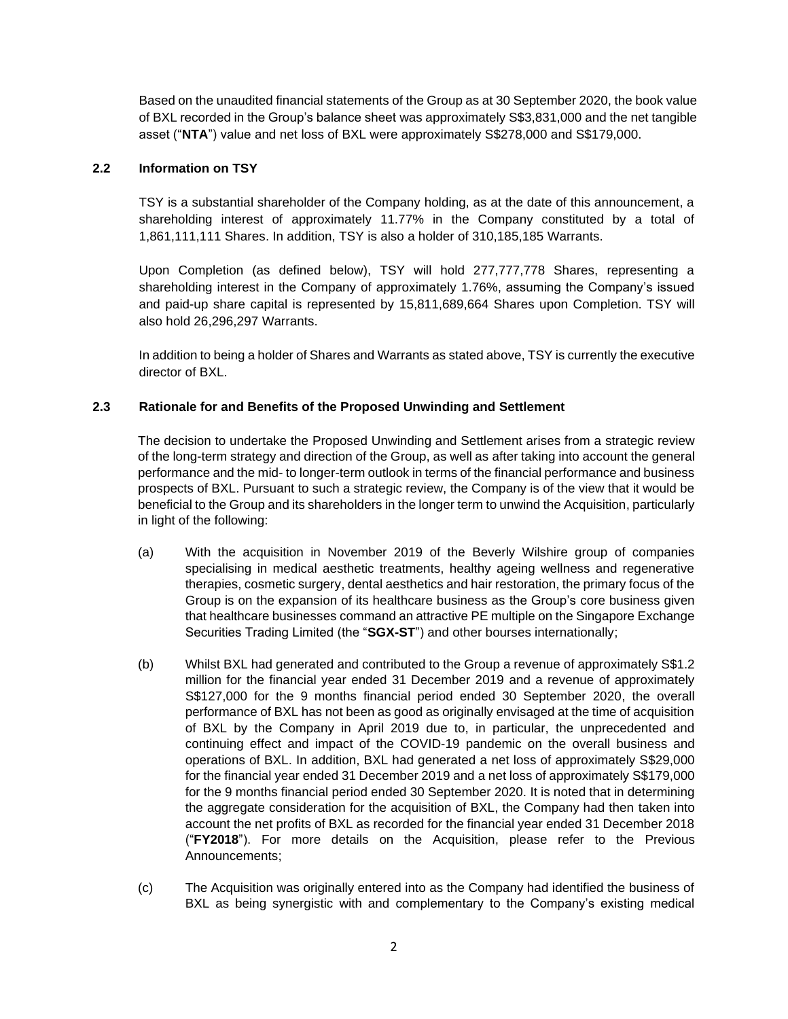Based on the unaudited financial statements of the Group as at 30 September 2020, the book value of BXL recorded in the Group's balance sheet was approximately S\$3,831,000 and the net tangible asset ("**NTA**") value and net loss of BXL were approximately S\$278,000 and S\$179,000.

# **2.2 Information on TSY**

TSY is a substantial shareholder of the Company holding, as at the date of this announcement, a shareholding interest of approximately 11.77% in the Company constituted by a total of 1,861,111,111 Shares. In addition, TSY is also a holder of 310,185,185 Warrants.

Upon Completion (as defined below), TSY will hold 277,777,778 Shares, representing a shareholding interest in the Company of approximately 1.76%, assuming the Company's issued and paid-up share capital is represented by 15,811,689,664 Shares upon Completion. TSY will also hold 26,296,297 Warrants.

In addition to being a holder of Shares and Warrants as stated above, TSY is currently the executive director of BXL.

# **2.3 Rationale for and Benefits of the Proposed Unwinding and Settlement**

The decision to undertake the Proposed Unwinding and Settlement arises from a strategic review of the long-term strategy and direction of the Group, as well as after taking into account the general performance and the mid- to longer-term outlook in terms of the financial performance and business prospects of BXL. Pursuant to such a strategic review, the Company is of the view that it would be beneficial to the Group and its shareholders in the longer term to unwind the Acquisition, particularly in light of the following:

- (a) With the acquisition in November 2019 of the Beverly Wilshire group of companies specialising in medical aesthetic treatments, healthy ageing wellness and regenerative therapies, cosmetic surgery, dental aesthetics and hair restoration, the primary focus of the Group is on the expansion of its healthcare business as the Group's core business given that healthcare businesses command an attractive PE multiple on the Singapore Exchange Securities Trading Limited (the "**SGX-ST**") and other bourses internationally;
- (b) Whilst BXL had generated and contributed to the Group a revenue of approximately S\$1.2 million for the financial year ended 31 December 2019 and a revenue of approximately S\$127,000 for the 9 months financial period ended 30 September 2020, the overall performance of BXL has not been as good as originally envisaged at the time of acquisition of BXL by the Company in April 2019 due to, in particular, the unprecedented and continuing effect and impact of the COVID-19 pandemic on the overall business and operations of BXL. In addition, BXL had generated a net loss of approximately S\$29,000 for the financial year ended 31 December 2019 and a net loss of approximately S\$179,000 for the 9 months financial period ended 30 September 2020. It is noted that in determining the aggregate consideration for the acquisition of BXL, the Company had then taken into account the net profits of BXL as recorded for the financial year ended 31 December 2018 ("**FY2018**"). For more details on the Acquisition, please refer to the Previous Announcements;
- (c) The Acquisition was originally entered into as the Company had identified the business of BXL as being synergistic with and complementary to the Company's existing medical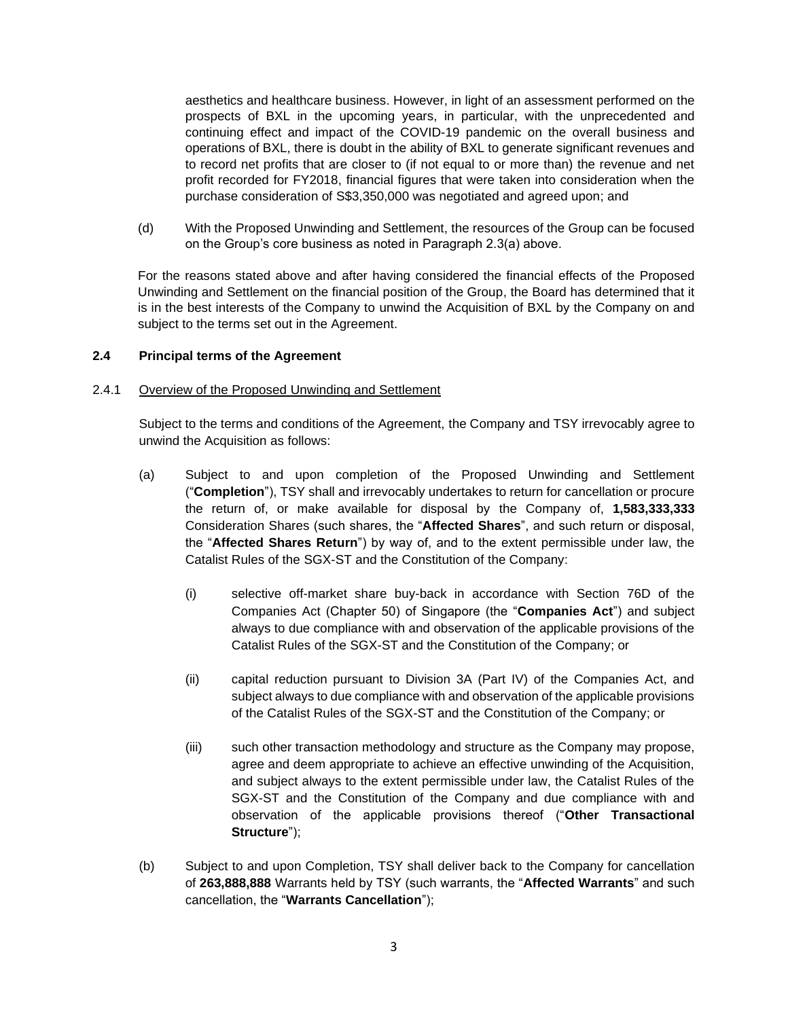aesthetics and healthcare business. However, in light of an assessment performed on the prospects of BXL in the upcoming years, in particular, with the unprecedented and continuing effect and impact of the COVID-19 pandemic on the overall business and operations of BXL, there is doubt in the ability of BXL to generate significant revenues and to record net profits that are closer to (if not equal to or more than) the revenue and net profit recorded for FY2018, financial figures that were taken into consideration when the purchase consideration of S\$3,350,000 was negotiated and agreed upon; and

(d) With the Proposed Unwinding and Settlement, the resources of the Group can be focused on the Group's core business as noted in Paragraph 2.3(a) above.

For the reasons stated above and after having considered the financial effects of the Proposed Unwinding and Settlement on the financial position of the Group, the Board has determined that it is in the best interests of the Company to unwind the Acquisition of BXL by the Company on and subject to the terms set out in the Agreement.

# **2.4 Principal terms of the Agreement**

#### 2.4.1 Overview of the Proposed Unwinding and Settlement

Subject to the terms and conditions of the Agreement, the Company and TSY irrevocably agree to unwind the Acquisition as follows:

- (a) Subject to and upon completion of the Proposed Unwinding and Settlement ("**Completion**"), TSY shall and irrevocably undertakes to return for cancellation or procure the return of, or make available for disposal by the Company of, **1,583,333,333** Consideration Shares (such shares, the "**Affected Shares**", and such return or disposal, the "**Affected Shares Return**") by way of, and to the extent permissible under law, the Catalist Rules of the SGX-ST and the Constitution of the Company:
	- (i) selective off-market share buy-back in accordance with Section 76D of the Companies Act (Chapter 50) of Singapore (the "**Companies Act**") and subject always to due compliance with and observation of the applicable provisions of the Catalist Rules of the SGX-ST and the Constitution of the Company; or
	- (ii) capital reduction pursuant to Division 3A (Part IV) of the Companies Act, and subject always to due compliance with and observation of the applicable provisions of the Catalist Rules of the SGX-ST and the Constitution of the Company; or
	- (iii) such other transaction methodology and structure as the Company may propose, agree and deem appropriate to achieve an effective unwinding of the Acquisition, and subject always to the extent permissible under law, the Catalist Rules of the SGX-ST and the Constitution of the Company and due compliance with and observation of the applicable provisions thereof ("**Other Transactional Structure**");
- (b) Subject to and upon Completion, TSY shall deliver back to the Company for cancellation of **263,888,888** Warrants held by TSY (such warrants, the "**Affected Warrants**" and such cancellation, the "**Warrants Cancellation**");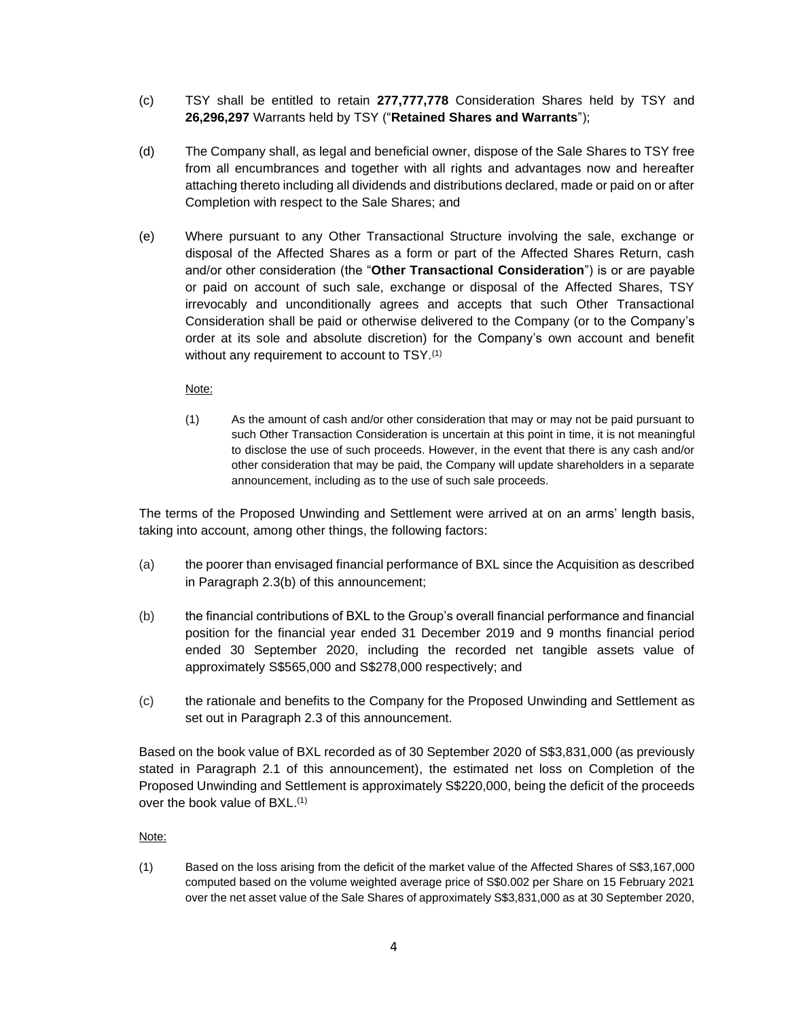- (c) TSY shall be entitled to retain **277,777,778** Consideration Shares held by TSY and **26,296,297** Warrants held by TSY ("**Retained Shares and Warrants**");
- (d) The Company shall, as legal and beneficial owner, dispose of the Sale Shares to TSY free from all encumbrances and together with all rights and advantages now and hereafter attaching thereto including all dividends and distributions declared, made or paid on or after Completion with respect to the Sale Shares; and
- (e) Where pursuant to any Other Transactional Structure involving the sale, exchange or disposal of the Affected Shares as a form or part of the Affected Shares Return, cash and/or other consideration (the "**Other Transactional Consideration**") is or are payable or paid on account of such sale, exchange or disposal of the Affected Shares, TSY irrevocably and unconditionally agrees and accepts that such Other Transactional Consideration shall be paid or otherwise delivered to the Company (or to the Company's order at its sole and absolute discretion) for the Company's own account and benefit without any requirement to account to TSY.<sup>(1)</sup>

Note:

(1) As the amount of cash and/or other consideration that may or may not be paid pursuant to such Other Transaction Consideration is uncertain at this point in time, it is not meaningful to disclose the use of such proceeds. However, in the event that there is any cash and/or other consideration that may be paid, the Company will update shareholders in a separate announcement, including as to the use of such sale proceeds.

The terms of the Proposed Unwinding and Settlement were arrived at on an arms' length basis, taking into account, among other things, the following factors:

- (a) the poorer than envisaged financial performance of BXL since the Acquisition as described in Paragraph 2.3(b) of this announcement;
- (b) the financial contributions of BXL to the Group's overall financial performance and financial position for the financial year ended 31 December 2019 and 9 months financial period ended 30 September 2020, including the recorded net tangible assets value of approximately S\$565,000 and S\$278,000 respectively; and
- (c) the rationale and benefits to the Company for the Proposed Unwinding and Settlement as set out in Paragraph 2.3 of this announcement.

Based on the book value of BXL recorded as of 30 September 2020 of S\$3,831,000 (as previously stated in Paragraph 2.1 of this announcement), the estimated net loss on Completion of the Proposed Unwinding and Settlement is approximately S\$220,000, being the deficit of the proceeds over the book value of BXL.<sup>(1)</sup>

Note:

(1) Based on the loss arising from the deficit of the market value of the Affected Shares of S\$3,167,000 computed based on the volume weighted average price of S\$0.002 per Share on 15 February 2021 over the net asset value of the Sale Shares of approximately S\$3,831,000 as at 30 September 2020,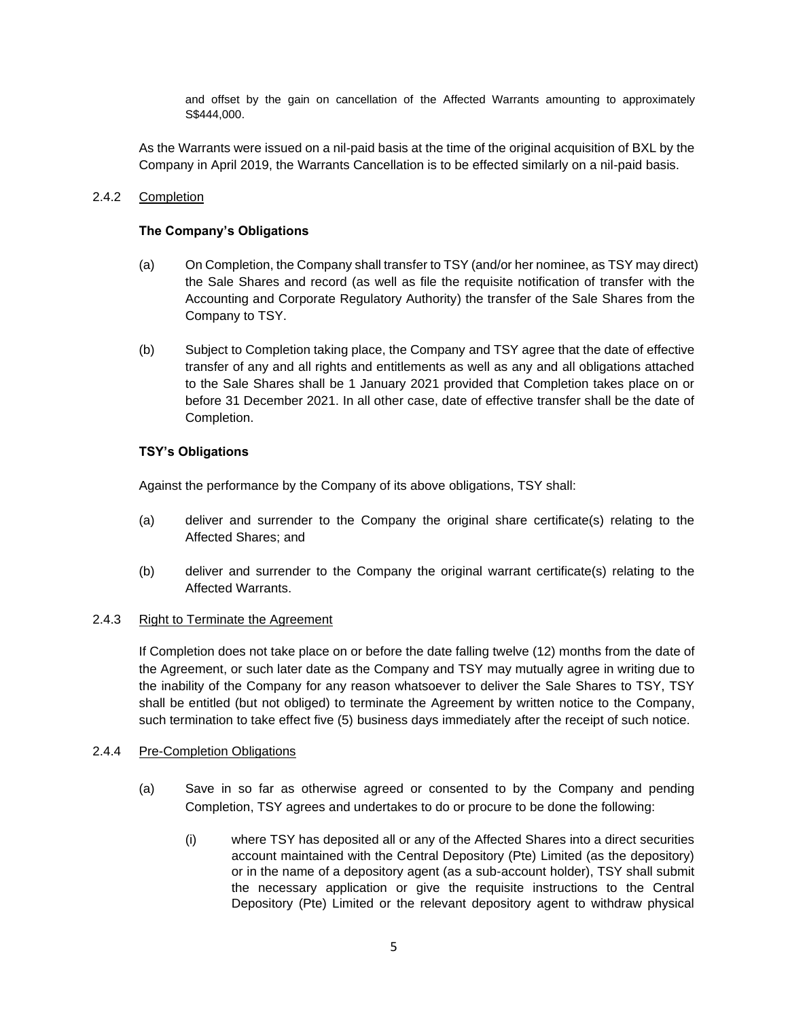and offset by the gain on cancellation of the Affected Warrants amounting to approximately S\$444,000.

As the Warrants were issued on a nil-paid basis at the time of the original acquisition of BXL by the Company in April 2019, the Warrants Cancellation is to be effected similarly on a nil-paid basis.

## 2.4.2 Completion

## **The Company's Obligations**

- (a) On Completion, the Company shall transfer to TSY (and/or her nominee, as TSY may direct) the Sale Shares and record (as well as file the requisite notification of transfer with the Accounting and Corporate Regulatory Authority) the transfer of the Sale Shares from the Company to TSY.
- (b) Subject to Completion taking place, the Company and TSY agree that the date of effective transfer of any and all rights and entitlements as well as any and all obligations attached to the Sale Shares shall be 1 January 2021 provided that Completion takes place on or before 31 December 2021. In all other case, date of effective transfer shall be the date of Completion.

## **TSY's Obligations**

Against the performance by the Company of its above obligations, TSY shall:

- (a) deliver and surrender to the Company the original share certificate(s) relating to the Affected Shares; and
- (b) deliver and surrender to the Company the original warrant certificate(s) relating to the Affected Warrants.

#### 2.4.3 Right to Terminate the Agreement

If Completion does not take place on or before the date falling twelve (12) months from the date of the Agreement, or such later date as the Company and TSY may mutually agree in writing due to the inability of the Company for any reason whatsoever to deliver the Sale Shares to TSY, TSY shall be entitled (but not obliged) to terminate the Agreement by written notice to the Company, such termination to take effect five (5) business days immediately after the receipt of such notice.

#### 2.4.4 Pre-Completion Obligations

- (a) Save in so far as otherwise agreed or consented to by the Company and pending Completion, TSY agrees and undertakes to do or procure to be done the following:
	- (i) where TSY has deposited all or any of the Affected Shares into a direct securities account maintained with the Central Depository (Pte) Limited (as the depository) or in the name of a depository agent (as a sub-account holder), TSY shall submit the necessary application or give the requisite instructions to the Central Depository (Pte) Limited or the relevant depository agent to withdraw physical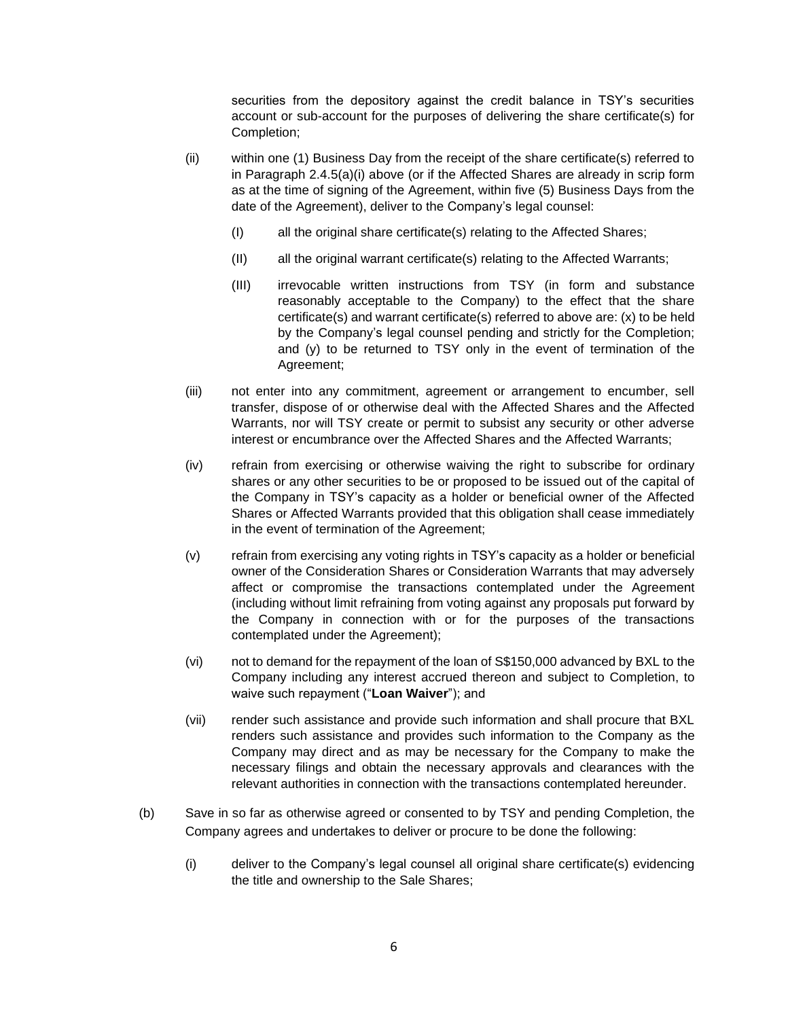securities from the depository against the credit balance in TSY's securities account or sub-account for the purposes of delivering the share certificate(s) for Completion;

- (ii) within one (1) Business Day from the receipt of the share certificate(s) referred to in Paragraph 2.4.5(a)(i) above (or if the Affected Shares are already in scrip form as at the time of signing of the Agreement, within five (5) Business Days from the date of the Agreement), deliver to the Company's legal counsel:
	- (I) all the original share certificate(s) relating to the Affected Shares;
	- (II) all the original warrant certificate(s) relating to the Affected Warrants;
	- (III) irrevocable written instructions from TSY (in form and substance reasonably acceptable to the Company) to the effect that the share certificate(s) and warrant certificate(s) referred to above are: (x) to be held by the Company's legal counsel pending and strictly for the Completion; and (y) to be returned to TSY only in the event of termination of the Agreement;
- (iii) not enter into any commitment, agreement or arrangement to encumber, sell transfer, dispose of or otherwise deal with the Affected Shares and the Affected Warrants, nor will TSY create or permit to subsist any security or other adverse interest or encumbrance over the Affected Shares and the Affected Warrants;
- (iv) refrain from exercising or otherwise waiving the right to subscribe for ordinary shares or any other securities to be or proposed to be issued out of the capital of the Company in TSY's capacity as a holder or beneficial owner of the Affected Shares or Affected Warrants provided that this obligation shall cease immediately in the event of termination of the Agreement;
- (v) refrain from exercising any voting rights in TSY's capacity as a holder or beneficial owner of the Consideration Shares or Consideration Warrants that may adversely affect or compromise the transactions contemplated under the Agreement (including without limit refraining from voting against any proposals put forward by the Company in connection with or for the purposes of the transactions contemplated under the Agreement);
- (vi) not to demand for the repayment of the loan of S\$150,000 advanced by BXL to the Company including any interest accrued thereon and subject to Completion, to waive such repayment ("**Loan Waiver**"); and
- (vii) render such assistance and provide such information and shall procure that BXL renders such assistance and provides such information to the Company as the Company may direct and as may be necessary for the Company to make the necessary filings and obtain the necessary approvals and clearances with the relevant authorities in connection with the transactions contemplated hereunder.
- (b) Save in so far as otherwise agreed or consented to by TSY and pending Completion, the Company agrees and undertakes to deliver or procure to be done the following:
	- (i) deliver to the Company's legal counsel all original share certificate(s) evidencing the title and ownership to the Sale Shares;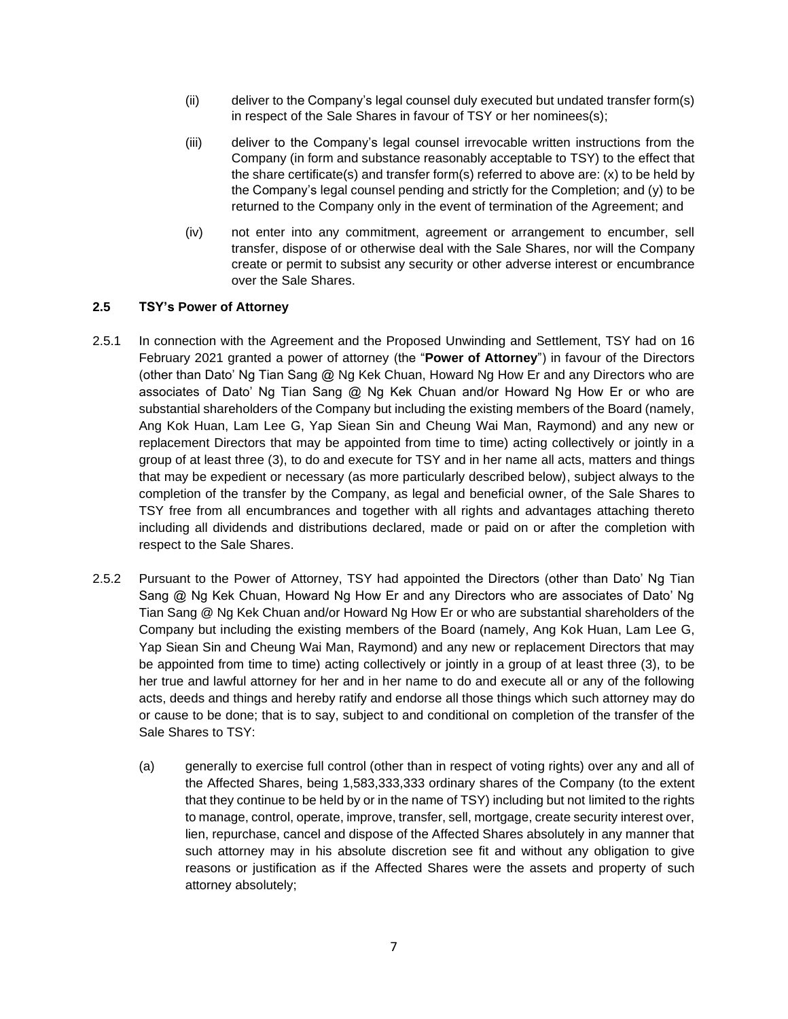- (ii) deliver to the Company's legal counsel duly executed but undated transfer form(s) in respect of the Sale Shares in favour of TSY or her nominees(s);
- (iii) deliver to the Company's legal counsel irrevocable written instructions from the Company (in form and substance reasonably acceptable to TSY) to the effect that the share certificate(s) and transfer form(s) referred to above are: (x) to be held by the Company's legal counsel pending and strictly for the Completion; and (y) to be returned to the Company only in the event of termination of the Agreement; and
- (iv) not enter into any commitment, agreement or arrangement to encumber, sell transfer, dispose of or otherwise deal with the Sale Shares, nor will the Company create or permit to subsist any security or other adverse interest or encumbrance over the Sale Shares.

# **2.5 TSY's Power of Attorney**

- 2.5.1 In connection with the Agreement and the Proposed Unwinding and Settlement, TSY had on 16 February 2021 granted a power of attorney (the "**Power of Attorney**") in favour of the Directors (other than Dato' Ng Tian Sang @ Ng Kek Chuan, Howard Ng How Er and any Directors who are associates of Dato' Ng Tian Sang @ Ng Kek Chuan and/or Howard Ng How Er or who are substantial shareholders of the Company but including the existing members of the Board (namely, Ang Kok Huan, Lam Lee G, Yap Siean Sin and Cheung Wai Man, Raymond) and any new or replacement Directors that may be appointed from time to time) acting collectively or jointly in a group of at least three (3), to do and execute for TSY and in her name all acts, matters and things that may be expedient or necessary (as more particularly described below), subject always to the completion of the transfer by the Company, as legal and beneficial owner, of the Sale Shares to TSY free from all encumbrances and together with all rights and advantages attaching thereto including all dividends and distributions declared, made or paid on or after the completion with respect to the Sale Shares.
- 2.5.2 Pursuant to the Power of Attorney, TSY had appointed the Directors (other than Dato' Ng Tian Sang @ Ng Kek Chuan, Howard Ng How Er and any Directors who are associates of Dato' Ng Tian Sang @ Ng Kek Chuan and/or Howard Ng How Er or who are substantial shareholders of the Company but including the existing members of the Board (namely, Ang Kok Huan, Lam Lee G, Yap Siean Sin and Cheung Wai Man, Raymond) and any new or replacement Directors that may be appointed from time to time) acting collectively or jointly in a group of at least three (3), to be her true and lawful attorney for her and in her name to do and execute all or any of the following acts, deeds and things and hereby ratify and endorse all those things which such attorney may do or cause to be done; that is to say, subject to and conditional on completion of the transfer of the Sale Shares to TSY:
	- (a) generally to exercise full control (other than in respect of voting rights) over any and all of the Affected Shares, being 1,583,333,333 ordinary shares of the Company (to the extent that they continue to be held by or in the name of TSY) including but not limited to the rights to manage, control, operate, improve, transfer, sell, mortgage, create security interest over, lien, repurchase, cancel and dispose of the Affected Shares absolutely in any manner that such attorney may in his absolute discretion see fit and without any obligation to give reasons or justification as if the Affected Shares were the assets and property of such attorney absolutely;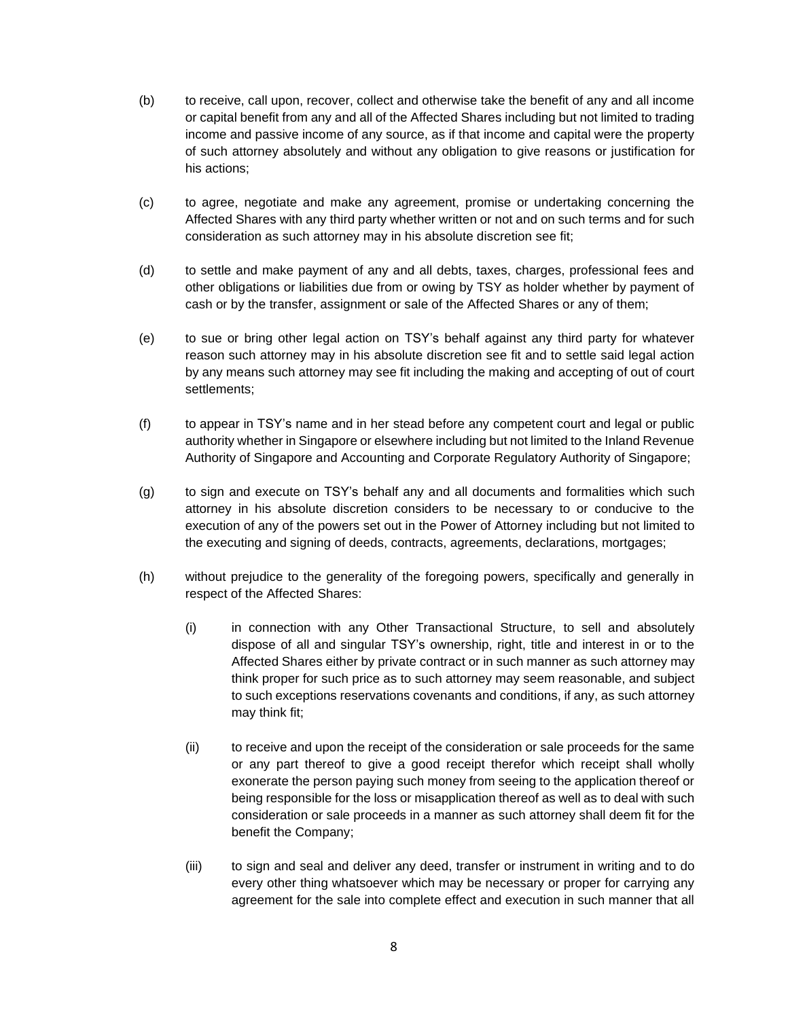- (b) to receive, call upon, recover, collect and otherwise take the benefit of any and all income or capital benefit from any and all of the Affected Shares including but not limited to trading income and passive income of any source, as if that income and capital were the property of such attorney absolutely and without any obligation to give reasons or justification for his actions;
- (c) to agree, negotiate and make any agreement, promise or undertaking concerning the Affected Shares with any third party whether written or not and on such terms and for such consideration as such attorney may in his absolute discretion see fit;
- (d) to settle and make payment of any and all debts, taxes, charges, professional fees and other obligations or liabilities due from or owing by TSY as holder whether by payment of cash or by the transfer, assignment or sale of the Affected Shares or any of them;
- (e) to sue or bring other legal action on TSY's behalf against any third party for whatever reason such attorney may in his absolute discretion see fit and to settle said legal action by any means such attorney may see fit including the making and accepting of out of court settlements;
- (f) to appear in TSY's name and in her stead before any competent court and legal or public authority whether in Singapore or elsewhere including but not limited to the Inland Revenue Authority of Singapore and Accounting and Corporate Regulatory Authority of Singapore;
- (g) to sign and execute on TSY's behalf any and all documents and formalities which such attorney in his absolute discretion considers to be necessary to or conducive to the execution of any of the powers set out in the Power of Attorney including but not limited to the executing and signing of deeds, contracts, agreements, declarations, mortgages;
- (h) without prejudice to the generality of the foregoing powers, specifically and generally in respect of the Affected Shares:
	- (i) in connection with any Other Transactional Structure, to sell and absolutely dispose of all and singular TSY's ownership, right, title and interest in or to the Affected Shares either by private contract or in such manner as such attorney may think proper for such price as to such attorney may seem reasonable, and subject to such exceptions reservations covenants and conditions, if any, as such attorney may think fit;
	- (ii) to receive and upon the receipt of the consideration or sale proceeds for the same or any part thereof to give a good receipt therefor which receipt shall wholly exonerate the person paying such money from seeing to the application thereof or being responsible for the loss or misapplication thereof as well as to deal with such consideration or sale proceeds in a manner as such attorney shall deem fit for the benefit the Company;
	- (iii) to sign and seal and deliver any deed, transfer or instrument in writing and to do every other thing whatsoever which may be necessary or proper for carrying any agreement for the sale into complete effect and execution in such manner that all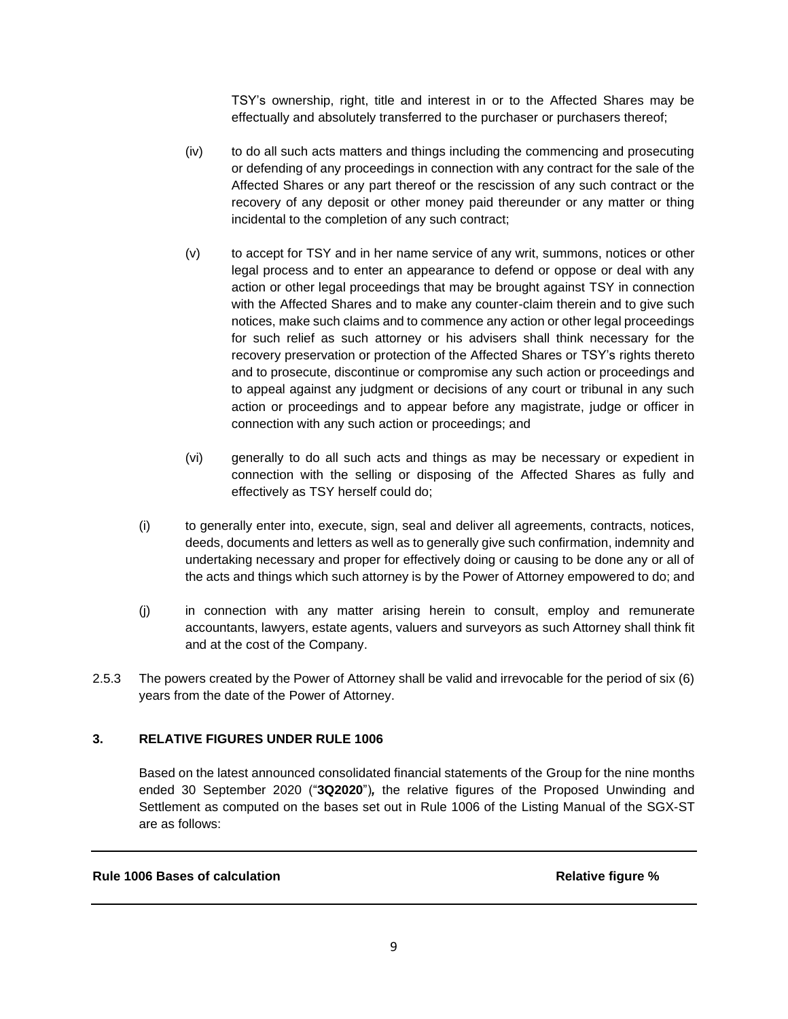TSY's ownership, right, title and interest in or to the Affected Shares may be effectually and absolutely transferred to the purchaser or purchasers thereof;

- (iv) to do all such acts matters and things including the commencing and prosecuting or defending of any proceedings in connection with any contract for the sale of the Affected Shares or any part thereof or the rescission of any such contract or the recovery of any deposit or other money paid thereunder or any matter or thing incidental to the completion of any such contract;
- (v) to accept for TSY and in her name service of any writ, summons, notices or other legal process and to enter an appearance to defend or oppose or deal with any action or other legal proceedings that may be brought against TSY in connection with the Affected Shares and to make any counter-claim therein and to give such notices, make such claims and to commence any action or other legal proceedings for such relief as such attorney or his advisers shall think necessary for the recovery preservation or protection of the Affected Shares or TSY's rights thereto and to prosecute, discontinue or compromise any such action or proceedings and to appeal against any judgment or decisions of any court or tribunal in any such action or proceedings and to appear before any magistrate, judge or officer in connection with any such action or proceedings; and
- (vi) generally to do all such acts and things as may be necessary or expedient in connection with the selling or disposing of the Affected Shares as fully and effectively as TSY herself could do;
- (i) to generally enter into, execute, sign, seal and deliver all agreements, contracts, notices, deeds, documents and letters as well as to generally give such confirmation, indemnity and undertaking necessary and proper for effectively doing or causing to be done any or all of the acts and things which such attorney is by the Power of Attorney empowered to do; and
- (j) in connection with any matter arising herein to consult, employ and remunerate accountants, lawyers, estate agents, valuers and surveyors as such Attorney shall think fit and at the cost of the Company.
- 2.5.3 The powers created by the Power of Attorney shall be valid and irrevocable for the period of six (6) years from the date of the Power of Attorney.

# **3. RELATIVE FIGURES UNDER RULE 1006**

Based on the latest announced consolidated financial statements of the Group for the nine months ended 30 September 2020 ("**3Q2020**")*,* the relative figures of the Proposed Unwinding and Settlement as computed on the bases set out in Rule 1006 of the Listing Manual of the SGX-ST are as follows:

## **Rule 1006 Bases of calculation Relative figure % Relative figure %**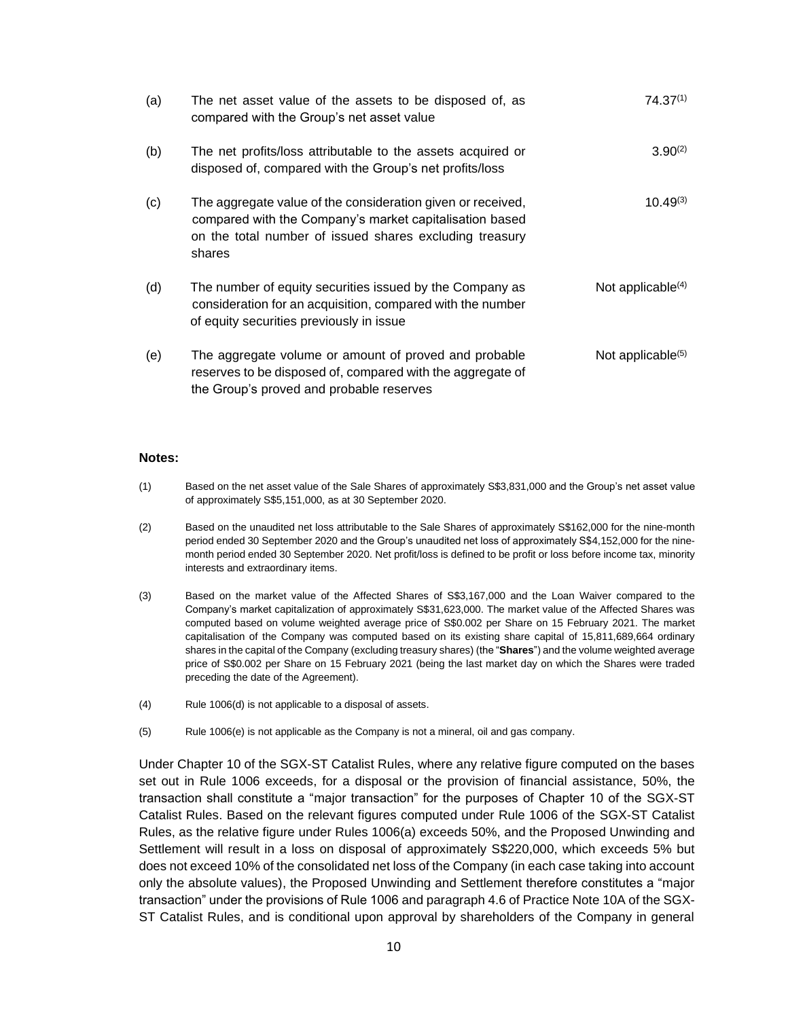| (a) | The net asset value of the assets to be disposed of, as<br>compared with the Group's net asset value                                                                                        | $74.37^{(1)}$        |
|-----|---------------------------------------------------------------------------------------------------------------------------------------------------------------------------------------------|----------------------|
| (b) | The net profits/loss attributable to the assets acquired or<br>disposed of, compared with the Group's net profits/loss                                                                      | $3.90^{(2)}$         |
| (c) | The aggregate value of the consideration given or received,<br>compared with the Company's market capitalisation based<br>on the total number of issued shares excluding treasury<br>shares | $10.49^{(3)}$        |
| (d) | The number of equity securities issued by the Company as<br>consideration for an acquisition, compared with the number<br>of equity securities previously in issue                          | Not applicable $(4)$ |
| (e) | The aggregate volume or amount of proved and probable<br>reserves to be disposed of, compared with the aggregate of<br>the Group's proved and probable reserves                             | Not applicable $(5)$ |

#### **Notes:**

- (1) Based on the net asset value of the Sale Shares of approximately S\$3,831,000 and the Group's net asset value of approximately S\$5,151,000, as at 30 September 2020.
- (2) Based on the unaudited net loss attributable to the Sale Shares of approximately S\$162,000 for the nine-month period ended 30 September 2020 and the Group's unaudited net loss of approximately S\$4,152,000 for the ninemonth period ended 30 September 2020. Net profit/loss is defined to be profit or loss before income tax, minority interests and extraordinary items.
- (3) Based on the market value of the Affected Shares of S\$3,167,000 and the Loan Waiver compared to the Company's market capitalization of approximately S\$31,623,000. The market value of the Affected Shares was computed based on volume weighted average price of S\$0.002 per Share on 15 February 2021. The market capitalisation of the Company was computed based on its existing share capital of 15,811,689,664 ordinary shares in the capital of the Company (excluding treasury shares) (the "**Shares**") and the volume weighted average price of S\$0.002 per Share on 15 February 2021 (being the last market day on which the Shares were traded preceding the date of the Agreement).
- (4) Rule 1006(d) is not applicable to a disposal of assets.
- (5) Rule 1006(e) is not applicable as the Company is not a mineral, oil and gas company.

Under Chapter 10 of the SGX-ST Catalist Rules, where any relative figure computed on the bases set out in Rule 1006 exceeds, for a disposal or the provision of financial assistance, 50%, the transaction shall constitute a "major transaction" for the purposes of Chapter 10 of the SGX-ST Catalist Rules. Based on the relevant figures computed under Rule 1006 of the SGX-ST Catalist Rules, as the relative figure under Rules 1006(a) exceeds 50%, and the Proposed Unwinding and Settlement will result in a loss on disposal of approximately S\$220,000, which exceeds 5% but does not exceed 10% of the consolidated net loss of the Company (in each case taking into account only the absolute values), the Proposed Unwinding and Settlement therefore constitutes a "major transaction" under the provisions of Rule 1006 and paragraph 4.6 of Practice Note 10A of the SGX-ST Catalist Rules, and is conditional upon approval by shareholders of the Company in general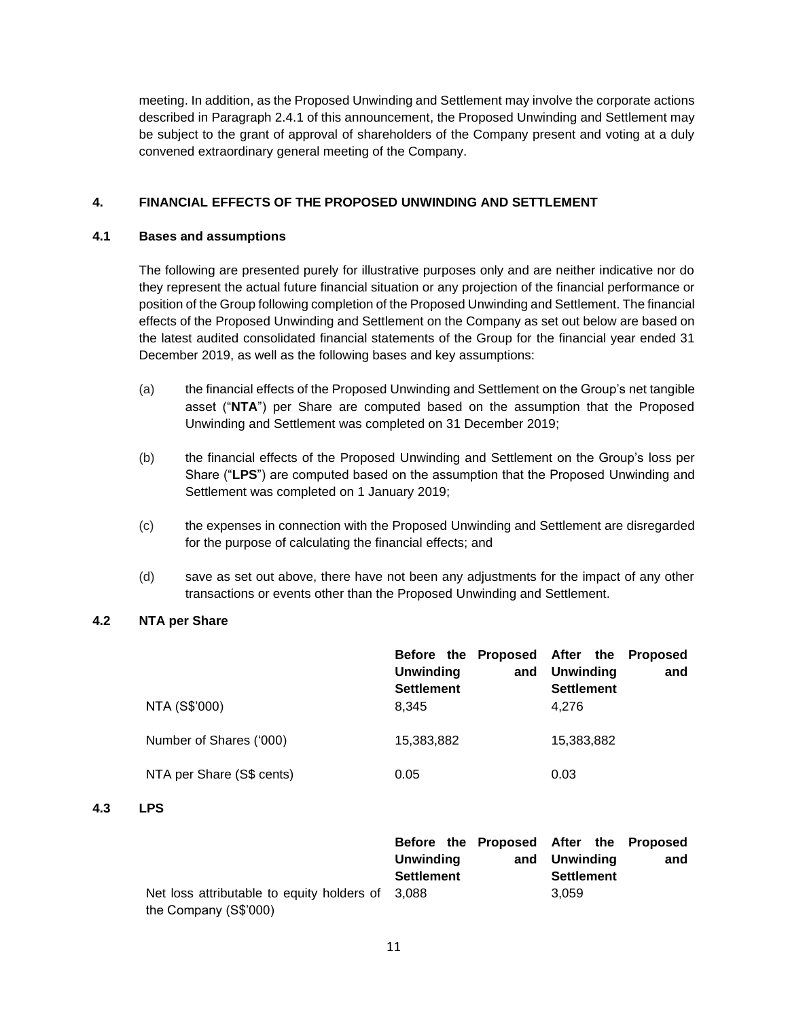meeting. In addition, as the Proposed Unwinding and Settlement may involve the corporate actions described in Paragraph 2.4.1 of this announcement, the Proposed Unwinding and Settlement may be subject to the grant of approval of shareholders of the Company present and voting at a duly convened extraordinary general meeting of the Company.

# **4. FINANCIAL EFFECTS OF THE PROPOSED UNWINDING AND SETTLEMENT**

# **4.1 Bases and assumptions**

The following are presented purely for illustrative purposes only and are neither indicative nor do they represent the actual future financial situation or any projection of the financial performance or position of the Group following completion of the Proposed Unwinding and Settlement. The financial effects of the Proposed Unwinding and Settlement on the Company as set out below are based on the latest audited consolidated financial statements of the Group for the financial year ended 31 December 2019, as well as the following bases and key assumptions:

- (a) the financial effects of the Proposed Unwinding and Settlement on the Group's net tangible asset ("**NTA**") per Share are computed based on the assumption that the Proposed Unwinding and Settlement was completed on 31 December 2019;
- (b) the financial effects of the Proposed Unwinding and Settlement on the Group's loss per Share ("**LPS**") are computed based on the assumption that the Proposed Unwinding and Settlement was completed on 1 January 2019;
- (c) the expenses in connection with the Proposed Unwinding and Settlement are disregarded for the purpose of calculating the financial effects; and
- (d) save as set out above, there have not been any adjustments for the impact of any other transactions or events other than the Proposed Unwinding and Settlement.

# **4.2 NTA per Share**

|                           | Before the Proposed After the Proposed<br>Unwinding<br>and<br><b>Settlement</b> | <b>Unwinding</b><br>and<br><b>Settlement</b> |
|---------------------------|---------------------------------------------------------------------------------|----------------------------------------------|
| NTA (S\$'000)             | 8.345                                                                           | 4.276                                        |
| Number of Shares ('000)   | 15,383,882                                                                      | 15,383,882                                   |
| NTA per Share (S\$ cents) | 0.05                                                                            | 0.03                                         |

# **4.3 LPS**

|                                                  | Before the Proposed After the Proposed |     |                   |     |
|--------------------------------------------------|----------------------------------------|-----|-------------------|-----|
|                                                  | Unwinding                              | and | Unwindina         | and |
|                                                  | <b>Settlement</b>                      |     | <b>Settlement</b> |     |
| Net loss attributable to equity holders of 3,088 |                                        |     | 3.059             |     |
| the Company (S\$'000)                            |                                        |     |                   |     |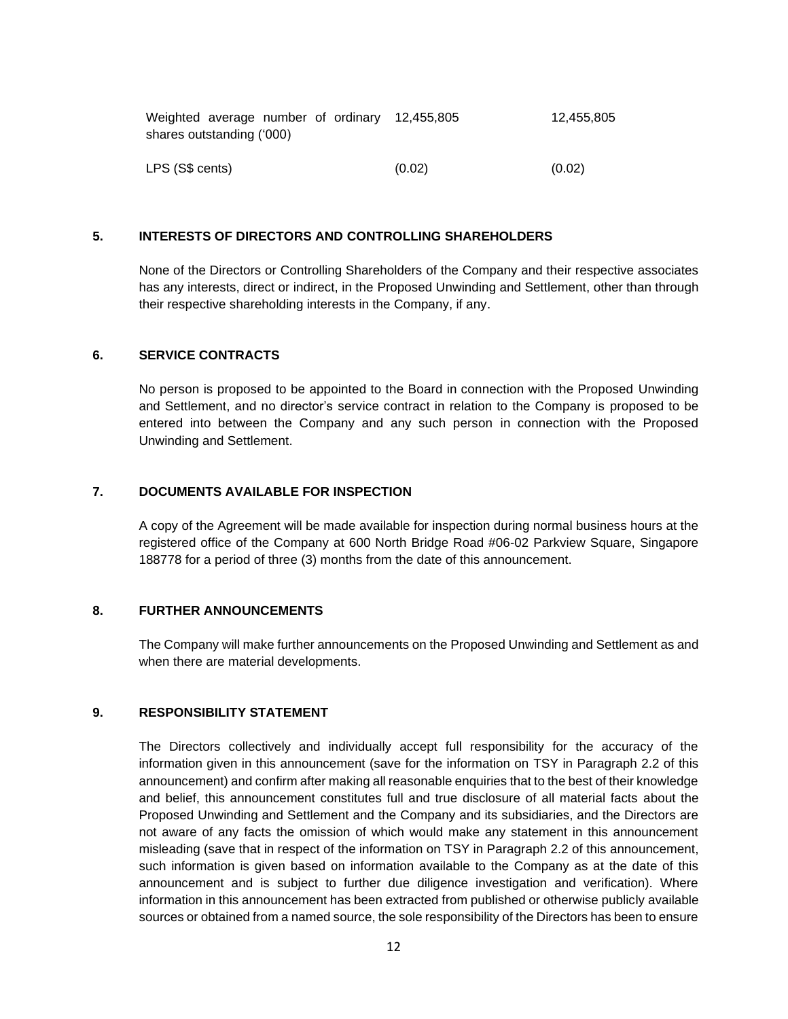| Weighted average number of ordinary 12,455,805 |        | 12.455.805 |  |  |  |  |  |  |  |
|------------------------------------------------|--------|------------|--|--|--|--|--|--|--|
| shares outstanding ('000)                      |        |            |  |  |  |  |  |  |  |
|                                                |        |            |  |  |  |  |  |  |  |
| LPS (S\$ cents)                                | (0.02) | (0.02)     |  |  |  |  |  |  |  |

# **5. INTERESTS OF DIRECTORS AND CONTROLLING SHAREHOLDERS**

None of the Directors or Controlling Shareholders of the Company and their respective associates has any interests, direct or indirect, in the Proposed Unwinding and Settlement, other than through their respective shareholding interests in the Company, if any.

## **6. SERVICE CONTRACTS**

No person is proposed to be appointed to the Board in connection with the Proposed Unwinding and Settlement, and no director's service contract in relation to the Company is proposed to be entered into between the Company and any such person in connection with the Proposed Unwinding and Settlement.

# **7. DOCUMENTS AVAILABLE FOR INSPECTION**

A copy of the Agreement will be made available for inspection during normal business hours at the registered office of the Company at 600 North Bridge Road #06-02 Parkview Square, Singapore 188778 for a period of three (3) months from the date of this announcement.

## **8. FURTHER ANNOUNCEMENTS**

The Company will make further announcements on the Proposed Unwinding and Settlement as and when there are material developments.

#### **9. RESPONSIBILITY STATEMENT**

The Directors collectively and individually accept full responsibility for the accuracy of the information given in this announcement (save for the information on TSY in Paragraph 2.2 of this announcement) and confirm after making all reasonable enquiries that to the best of their knowledge and belief, this announcement constitutes full and true disclosure of all material facts about the Proposed Unwinding and Settlement and the Company and its subsidiaries, and the Directors are not aware of any facts the omission of which would make any statement in this announcement misleading (save that in respect of the information on TSY in Paragraph 2.2 of this announcement, such information is given based on information available to the Company as at the date of this announcement and is subject to further due diligence investigation and verification). Where information in this announcement has been extracted from published or otherwise publicly available sources or obtained from a named source, the sole responsibility of the Directors has been to ensure